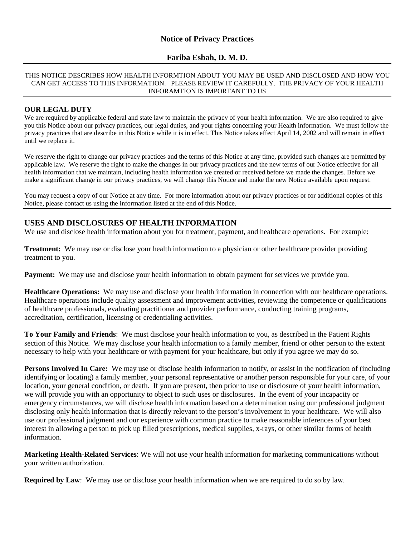# **Notice of Privacy Practices**

## **Fariba Esbah, D. M. D.**

#### THIS NOTICE DESCRIBES HOW HEALTH INFORMTION ABOUT YOU MAY BE USED AND DISCLOSED AND HOW YOU CAN GET ACCESS TO THIS INFORMATION. PLEASE REVIEW IT CAREFULLY. THE PRIVACY OF YOUR HEALTH INFORAMTION IS IMPORTANT TO US

## **OUR LEGAL DUTY**

We are required by applicable federal and state law to maintain the privacy of your health information. We are also required to give you this Notice about our privacy practices, our legal duties, and your rights concerning your Health information. We must follow the privacy practices that are describe in this Notice while it is in effect. This Notice takes effect April 14, 2002 and will remain in effect until we replace it.

We reserve the right to change our privacy practices and the terms of this Notice at any time, provided such changes are permitted by applicable law. We reserve the right to make the changes in our privacy practices and the new terms of our Notice effective for all health information that we maintain, including health information we created or received before we made the changes. Before we make a significant change in our privacy practices, we will change this Notice and make the new Notice available upon request.

You may request a copy of our Notice at any time. For more information about our privacy practices or for additional copies of this Notice, please contact us using the information listed at the end of this Notice.

## **USES AND DISCLOSURES OF HEALTH INFORMATION**

We use and disclose health information about you for treatment, payment, and healthcare operations. For example:

**Treatment:** We may use or disclose your health information to a physician or other healthcare provider providing treatment to you.

**Payment:** We may use and disclose your health information to obtain payment for services we provide you.

**Healthcare Operations:** We may use and disclose your health information in connection with our healthcare operations. Healthcare operations include quality assessment and improvement activities, reviewing the competence or qualifications of healthcare professionals, evaluating practitioner and provider performance, conducting training programs, accreditation, certification, licensing or credentialing activities.

**To Your Family and Friends**: We must disclose your health information to you, as described in the Patient Rights section of this Notice. We may disclose your health information to a family member, friend or other person to the extent necessary to help with your healthcare or with payment for your healthcare, but only if you agree we may do so.

**Persons Involved In Care:** We may use or disclose health information to notify, or assist in the notification of (including identifying or locating) a family member, your personal representative or another person responsible for your care, of your location, your general condition, or death. If you are present, then prior to use or disclosure of your health information, we will provide you with an opportunity to object to such uses or disclosures. In the event of your incapacity or emergency circumstances, we will disclose health information based on a determination using our professional judgment disclosing only health information that is directly relevant to the person's involvement in your healthcare. We will also use our professional judgment and our experience with common practice to make reasonable inferences of your best interest in allowing a person to pick up filled prescriptions, medical supplies, x-rays, or other similar forms of health information.

**Marketing Health-Related Services**: We will not use your health information for marketing communications without your written authorization.

**Required by Law**: We may use or disclose your health information when we are required to do so by law.